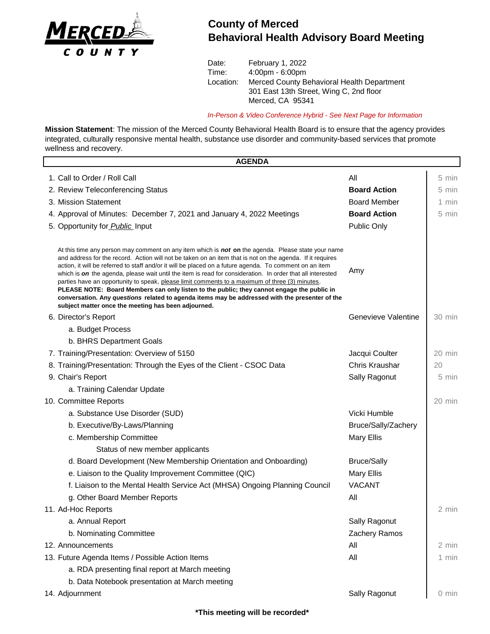

## **County of Merced Behavioral Health Advisory Board Meeting**

Date: February 1, 2022 Time: 4:00pm - 6:00pm Location: Merced County Behavioral Health Department 301 East 13th Street, Wing C, 2nd floor Merced, CA 95341

*In-Person & Video Conference Hybrid - See Next Page for Information*

**Mission Statement**: The mission of the Merced County Behavioral Health Board is to ensure that the agency provides integrated, culturally responsive mental health, substance use disorder and community-based services that promote wellness and recovery.

| <b>AGENDA</b>                                                                                                                                                                                                                                                                                                                                                                                                                                                                                                                                                                                                                                                                                                                                                                                            |                     |                  |
|----------------------------------------------------------------------------------------------------------------------------------------------------------------------------------------------------------------------------------------------------------------------------------------------------------------------------------------------------------------------------------------------------------------------------------------------------------------------------------------------------------------------------------------------------------------------------------------------------------------------------------------------------------------------------------------------------------------------------------------------------------------------------------------------------------|---------------------|------------------|
| 1. Call to Order / Roll Call                                                                                                                                                                                                                                                                                                                                                                                                                                                                                                                                                                                                                                                                                                                                                                             | All                 | 5 min            |
| 2. Review Teleconferencing Status                                                                                                                                                                                                                                                                                                                                                                                                                                                                                                                                                                                                                                                                                                                                                                        | <b>Board Action</b> | 5 min            |
| 3. Mission Statement                                                                                                                                                                                                                                                                                                                                                                                                                                                                                                                                                                                                                                                                                                                                                                                     | <b>Board Member</b> | 1 min            |
| 4. Approval of Minutes: December 7, 2021 and January 4, 2022 Meetings                                                                                                                                                                                                                                                                                                                                                                                                                                                                                                                                                                                                                                                                                                                                    | <b>Board Action</b> | 5 min            |
| 5. Opportunity for <b>Public</b> Input                                                                                                                                                                                                                                                                                                                                                                                                                                                                                                                                                                                                                                                                                                                                                                   | Public Only         |                  |
| At this time any person may comment on any item which is <b>not on</b> the agenda. Please state your name<br>and address for the record. Action will not be taken on an item that is not on the agenda. If it requires<br>action, it will be referred to staff and/or it will be placed on a future agenda. To comment on an item<br>which is on the agenda, please wait until the item is read for consideration. In order that all interested<br>parties have an opportunity to speak, please limit comments to a maximum of three (3) minutes.<br>PLEASE NOTE: Board Members can only listen to the public; they cannot engage the public in<br>conversation. Any questions related to agenda items may be addressed with the presenter of the<br>subject matter once the meeting has been adjourned. | Amy                 |                  |
| 6. Director's Report                                                                                                                                                                                                                                                                                                                                                                                                                                                                                                                                                                                                                                                                                                                                                                                     | Genevieve Valentine | $30 \text{ min}$ |
| a. Budget Process                                                                                                                                                                                                                                                                                                                                                                                                                                                                                                                                                                                                                                                                                                                                                                                        |                     |                  |
| b. BHRS Department Goals                                                                                                                                                                                                                                                                                                                                                                                                                                                                                                                                                                                                                                                                                                                                                                                 |                     |                  |
| 7. Training/Presentation: Overview of 5150                                                                                                                                                                                                                                                                                                                                                                                                                                                                                                                                                                                                                                                                                                                                                               | Jacqui Coulter      | 20 min           |
| 8. Training/Presentation: Through the Eyes of the Client - CSOC Data                                                                                                                                                                                                                                                                                                                                                                                                                                                                                                                                                                                                                                                                                                                                     | Chris Kraushar      | 20               |
| 9. Chair's Report                                                                                                                                                                                                                                                                                                                                                                                                                                                                                                                                                                                                                                                                                                                                                                                        | Sally Ragonut       | 5 min            |
| a. Training Calendar Update                                                                                                                                                                                                                                                                                                                                                                                                                                                                                                                                                                                                                                                                                                                                                                              |                     |                  |
| 10. Committee Reports                                                                                                                                                                                                                                                                                                                                                                                                                                                                                                                                                                                                                                                                                                                                                                                    |                     | 20 min           |
| a. Substance Use Disorder (SUD)                                                                                                                                                                                                                                                                                                                                                                                                                                                                                                                                                                                                                                                                                                                                                                          | Vicki Humble        |                  |
| b. Executive/By-Laws/Planning                                                                                                                                                                                                                                                                                                                                                                                                                                                                                                                                                                                                                                                                                                                                                                            | Bruce/Sally/Zachery |                  |
| c. Membership Committee                                                                                                                                                                                                                                                                                                                                                                                                                                                                                                                                                                                                                                                                                                                                                                                  | <b>Mary Ellis</b>   |                  |
| Status of new member applicants                                                                                                                                                                                                                                                                                                                                                                                                                                                                                                                                                                                                                                                                                                                                                                          |                     |                  |
| d. Board Development (New Membership Orientation and Onboarding)                                                                                                                                                                                                                                                                                                                                                                                                                                                                                                                                                                                                                                                                                                                                         | <b>Bruce/Sally</b>  |                  |
| e. Liaison to the Quality Improvement Committee (QIC)                                                                                                                                                                                                                                                                                                                                                                                                                                                                                                                                                                                                                                                                                                                                                    | <b>Mary Ellis</b>   |                  |
| f. Liaison to the Mental Health Service Act (MHSA) Ongoing Planning Council                                                                                                                                                                                                                                                                                                                                                                                                                                                                                                                                                                                                                                                                                                                              | <b>VACANT</b>       |                  |
| g. Other Board Member Reports                                                                                                                                                                                                                                                                                                                                                                                                                                                                                                                                                                                                                                                                                                                                                                            | All                 |                  |
| 11. Ad-Hoc Reports                                                                                                                                                                                                                                                                                                                                                                                                                                                                                                                                                                                                                                                                                                                                                                                       |                     | 2 min            |
| a. Annual Report                                                                                                                                                                                                                                                                                                                                                                                                                                                                                                                                                                                                                                                                                                                                                                                         | Sally Ragonut       |                  |
| b. Nominating Committee                                                                                                                                                                                                                                                                                                                                                                                                                                                                                                                                                                                                                                                                                                                                                                                  | Zachery Ramos       |                  |
| 12. Announcements                                                                                                                                                                                                                                                                                                                                                                                                                                                                                                                                                                                                                                                                                                                                                                                        | All                 | 2 min            |
| 13. Future Agenda Items / Possible Action Items                                                                                                                                                                                                                                                                                                                                                                                                                                                                                                                                                                                                                                                                                                                                                          | All                 | 1 min            |
| a. RDA presenting final report at March meeting                                                                                                                                                                                                                                                                                                                                                                                                                                                                                                                                                                                                                                                                                                                                                          |                     |                  |
| b. Data Notebook presentation at March meeting                                                                                                                                                                                                                                                                                                                                                                                                                                                                                                                                                                                                                                                                                                                                                           |                     |                  |
| 14. Adjournment                                                                                                                                                                                                                                                                                                                                                                                                                                                                                                                                                                                                                                                                                                                                                                                          | Sally Ragonut       | $0 \text{ min}$  |